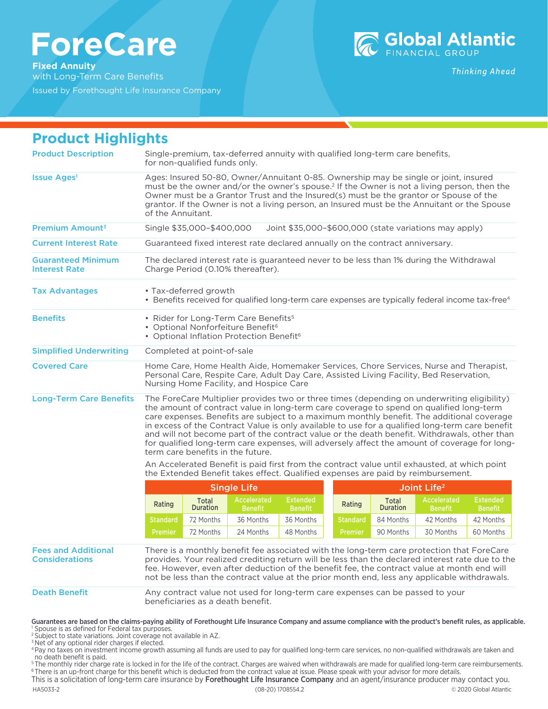# **ForeCare**

**Fixed Annuity** with Long-Term Care Benefits

Issued by Forethought Life Insurance Company



**Thinking Ahead** 

| <b>Product Highlights</b>                           |                                                                                                                                                                                                                                                                                                                                                                                                                                                                                                                                                                                                                              |                          |                               |                                   |                         |                          |                                      |                                   |
|-----------------------------------------------------|------------------------------------------------------------------------------------------------------------------------------------------------------------------------------------------------------------------------------------------------------------------------------------------------------------------------------------------------------------------------------------------------------------------------------------------------------------------------------------------------------------------------------------------------------------------------------------------------------------------------------|--------------------------|-------------------------------|-----------------------------------|-------------------------|--------------------------|--------------------------------------|-----------------------------------|
| <b>Product Description</b>                          | Single-premium, tax-deferred annuity with qualified long-term care benefits,<br>for non-qualified funds only.                                                                                                                                                                                                                                                                                                                                                                                                                                                                                                                |                          |                               |                                   |                         |                          |                                      |                                   |
| Issue Ages <sup>1</sup>                             | Ages: Insured 50-80, Owner/Annuitant 0-85. Ownership may be single or joint, insured<br>must be the owner and/or the owner's spouse. <sup>2</sup> If the Owner is not a living person, then the<br>Owner must be a Grantor Trust and the Insured(s) must be the grantor or Spouse of the<br>grantor. If the Owner is not a living person, an Insured must be the Annuitant or the Spouse<br>of the Annuitant.                                                                                                                                                                                                                |                          |                               |                                   |                         |                          |                                      |                                   |
| Premium Amount <sup>3</sup>                         | Single \$35,000-\$400,000<br>Joint \$35,000-\$600,000 (state variations may apply)                                                                                                                                                                                                                                                                                                                                                                                                                                                                                                                                           |                          |                               |                                   |                         |                          |                                      |                                   |
| <b>Current Interest Rate</b>                        | Guaranteed fixed interest rate declared annually on the contract anniversary.                                                                                                                                                                                                                                                                                                                                                                                                                                                                                                                                                |                          |                               |                                   |                         |                          |                                      |                                   |
| <b>Guaranteed Minimum</b><br><b>Interest Rate</b>   | The declared interest rate is guaranteed never to be less than 1% during the Withdrawal<br>Charge Period (0.10% thereafter).                                                                                                                                                                                                                                                                                                                                                                                                                                                                                                 |                          |                               |                                   |                         |                          |                                      |                                   |
| <b>Tax Advantages</b>                               | • Tax-deferred growth<br>• Benefits received for qualified long-term care expenses are typically federal income tax-free <sup>4</sup>                                                                                                                                                                                                                                                                                                                                                                                                                                                                                        |                          |                               |                                   |                         |                          |                                      |                                   |
| <b>Benefits</b>                                     | • Rider for Long-Term Care Benefits <sup>5</sup><br>• Optional Nonforfeiture Benefit <sup>6</sup><br>• Optional Inflation Protection Benefit <sup>6</sup>                                                                                                                                                                                                                                                                                                                                                                                                                                                                    |                          |                               |                                   |                         |                          |                                      |                                   |
| <b>Simplified Underwriting</b>                      | Completed at point-of-sale                                                                                                                                                                                                                                                                                                                                                                                                                                                                                                                                                                                                   |                          |                               |                                   |                         |                          |                                      |                                   |
| <b>Covered Care</b>                                 | Home Care, Home Health Aide, Homemaker Services, Chore Services, Nurse and Therapist,<br>Personal Care, Respite Care, Adult Day Care, Assisted Living Facility, Bed Reservation,<br>Nursing Home Facility, and Hospice Care                                                                                                                                                                                                                                                                                                                                                                                                  |                          |                               |                                   |                         |                          |                                      |                                   |
| <b>Long-Term Care Benefits</b>                      | The ForeCare Multiplier provides two or three times (depending on underwriting eligibility)<br>the amount of contract value in long-term care coverage to spend on qualified long-term<br>care expenses. Benefits are subject to a maximum monthly benefit. The additional coverage<br>in excess of the Contract Value is only available to use for a qualified long-term care benefit<br>and will not become part of the contract value or the death benefit. Withdrawals, other than<br>for qualified long-term care expenses, will adversely affect the amount of coverage for long-<br>term care benefits in the future. |                          |                               |                                   |                         |                          |                                      |                                   |
|                                                     | An Accelerated Benefit is paid first from the contract value until exhausted, at which point<br>the Extended Benefit takes effect. Qualified expenses are paid by reimbursement.                                                                                                                                                                                                                                                                                                                                                                                                                                             |                          |                               |                                   |                         |                          |                                      |                                   |
|                                                     | <b>Single Life</b>                                                                                                                                                                                                                                                                                                                                                                                                                                                                                                                                                                                                           |                          |                               |                                   | Joint Life <sup>2</sup> |                          |                                      |                                   |
|                                                     | Rating                                                                                                                                                                                                                                                                                                                                                                                                                                                                                                                                                                                                                       | Total<br><b>Duration</b> | Accelerated<br><b>Benefit</b> | <b>Extended</b><br><b>Benefit</b> | Rating                  | Total<br><b>Duration</b> | <b>Accelerated</b><br><b>Benefit</b> | <b>Extended</b><br><b>Benefit</b> |
|                                                     | <b>Standard</b>                                                                                                                                                                                                                                                                                                                                                                                                                                                                                                                                                                                                              | 72 Months                | 36 Months                     | 36 Months                         | <b>Standard</b>         | 84 Months                | 42 Months                            | 42 Months                         |
|                                                     | <b>Premier</b>                                                                                                                                                                                                                                                                                                                                                                                                                                                                                                                                                                                                               | 72 Months                | 24 Months                     | 48 Months                         |                         | <b>Premier</b> 90 Months | 30 Months                            | 60 Months                         |
| <b>Fees and Additional</b><br><b>Considerations</b> | There is a monthly benefit fee associated with the long-term care protection that ForeCare<br>provides. Your realized crediting return will be less than the declared interest rate due to the<br>fee. However, even after deduction of the benefit fee, the contract value at month end will<br>not be less than the contract value at the prior month end, less any applicable withdrawals.                                                                                                                                                                                                                                |                          |                               |                                   |                         |                          |                                      |                                   |
| <b>Death Benefit</b>                                | Any contract value not used for long-term care expenses can be passed to your<br>beneficiaries as a death benefit.                                                                                                                                                                                                                                                                                                                                                                                                                                                                                                           |                          |                               |                                   |                         |                          |                                      |                                   |

<sup>2</sup> Subject to state variations. Joint coverage not available in AZ. <sup>3</sup> Net of any optional rider charges if elected.

4Pay no taxes on investment income growth assuming all funds are used to pay for qualified long-term care services, no non-qualified withdrawals are taken and no death benefit is paid.

<sup>5</sup> The monthly rider charge rate is locked in for the life of the contract. Charges are waived when withdrawals are made for qualified long-term care reimbursements. <sup>6</sup> There is an up-front charge for this benefit which is deducted from the contract value at issue. Please speak with your advisor for more details.

This is a solicitation of long-term care insurance by **Forethought Life Insurance Company** and an agent/insurance producer may contact you. HA5033-2 (08-20) 1708554.2 © 2020 Global Atlantic